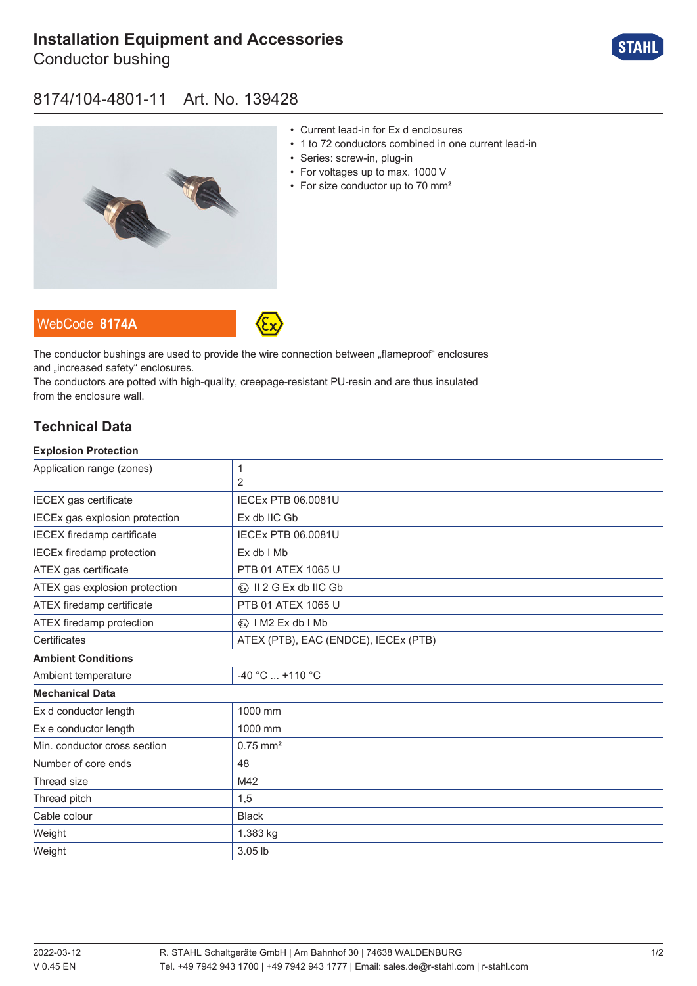# **[Installation Equipment and Accessories](https://r-stahl.com/en/global/products/materialid/139428)**

Conductor bushing



## 8174/104-4801-11 Art. No. 139428



- Current lead-in for Ex d enclosures
- 1 to 72 conductors combined in one current lead-in
- Series: screw-in, plug-in
- For voltages up to max. 1000 V
- For size conductor up to 70 mm<sup>2</sup>

WebCode **[8174A](https://r-stahl.com/en/global/products/downloads/webcode/8174A)**



The conductor bushings are used to provide the wire connection between "flameproof" enclosures and .increased safety" enclosures.

The conductors are potted with high-quality, creepage-resistant PU-resin and are thus insulated from the enclosure wall.

### **Technical Data**

| <b>Explosion Protection</b>       |                                         |
|-----------------------------------|-----------------------------------------|
| Application range (zones)         | 1                                       |
|                                   | $\overline{2}$                          |
| IECEX gas certificate             | <b>IECEX PTB 06.0081U</b>               |
| IECEx gas explosion protection    | Ex db IIC Gb                            |
| <b>IECEX</b> firedamp certificate | <b>IECEx PTB 06.0081U</b>               |
| <b>IECEx firedamp protection</b>  | $Ex db$ I Mb                            |
| ATEX gas certificate              | PTB 01 ATEX 1065 U                      |
| ATEX gas explosion protection     | $\langle x \rangle$ II 2 G Ex db IIC Gb |
| ATEX firedamp certificate         | PTB 01 ATEX 1065 U                      |
| ATEX firedamp protection          | $\langle x \rangle$   M2 Ex db   Mb     |
| Certificates                      | ATEX (PTB), EAC (ENDCE), IECEx (PTB)    |
| <b>Ambient Conditions</b>         |                                         |
| Ambient temperature               | -40 °C  +110 °C                         |
| <b>Mechanical Data</b>            |                                         |
| Ex d conductor length             | 1000 mm                                 |
| Ex e conductor length             | 1000 mm                                 |
| Min. conductor cross section      | $0.75$ mm <sup>2</sup>                  |
| Number of core ends               | 48                                      |
| Thread size                       | M42                                     |
| Thread pitch                      | 1,5                                     |
| Cable colour                      | <b>Black</b>                            |
| Weight                            | 1.383 kg                                |
| Weight                            | 3.05 lb                                 |